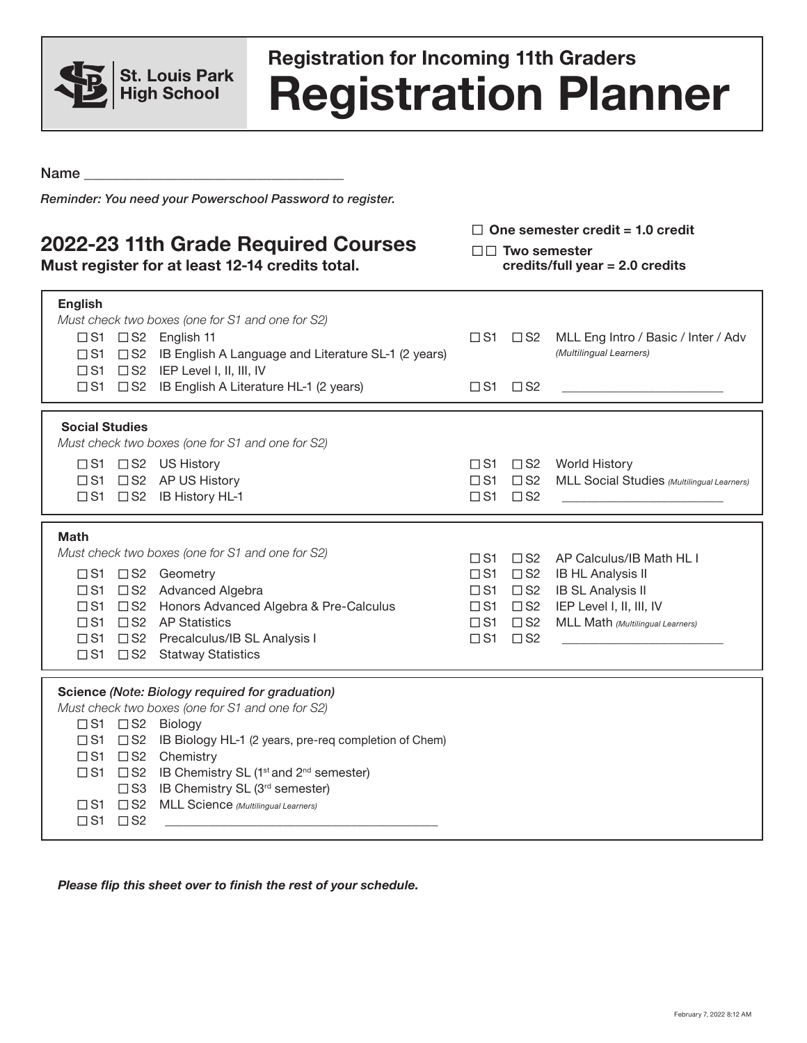

## **Registration Planner Registration for Incoming 11th Graders**

Name \_\_\_\_\_\_\_\_\_\_\_\_\_\_\_\_\_\_\_\_\_\_\_\_\_\_\_\_\_\_\_\_\_\_\_\_

*Reminder: You need your Powerschool Password to register.*

## **2022-23 11th Grade Required Courses**

**Must register for at least 12-14 credits total.** 

□ One semester credit = 1.0 credit

□□ Two semester **credits/full year = 2.0 credits**

| <b>English</b><br>Must check two boxes (one for S1 and one for S2)<br>$\Box$ S1 $\Box$ S2 English 11<br>□ S1 □ S2 IB English A Language and Literature SL-1 (2 years)<br>$\Box$ S1 $\Box$ S2 IEP Level I, II, III, IV<br>$\Box$ S1 $\Box$ S2 IB English A Literature HL-1 (2 years)                                                                                                                                                                                                                            | $\square$ S1 $\square$ S2<br>$\square$ S1 $\square$ S2                                                                           |                                           | MLL Eng Intro / Basic / Inter / Adv<br>(Multilingual Learners)                                                                                   |
|----------------------------------------------------------------------------------------------------------------------------------------------------------------------------------------------------------------------------------------------------------------------------------------------------------------------------------------------------------------------------------------------------------------------------------------------------------------------------------------------------------------|----------------------------------------------------------------------------------------------------------------------------------|-------------------------------------------|--------------------------------------------------------------------------------------------------------------------------------------------------|
| <b>Social Studies</b><br>Must check two boxes (one for S1 and one for S2)<br>$\Box$ S1 $\Box$ S2 US History<br>□S1 □S2 AP US History<br>□S1 □S2 IB History HL-1                                                                                                                                                                                                                                                                                                                                                | $\square$ S1 $\square$ S2<br>$\square$ S1                                                                                        | $\Box$ S2                                 | □S1 □S2 World History<br>MLL Social Studies (Multilingual Learners)                                                                              |
| <b>Math</b><br>Must check two boxes (one for S1 and one for S2)<br>□S1 □S2 Geometry<br>□S1 □S2 Advanced Algebra<br>□ S2 Honors Advanced Algebra & Pre-Calculus<br>$\square$ S1<br>$\Box$ S2 AP Statistics<br>$\square$ S1<br>□ S1 □ S2 Precalculus/IB SL Analysis I<br>$\Box$ S1 $\Box$ S2 Statway Statistics                                                                                                                                                                                                  | $\Box$ S1<br>$\square$ S1<br>$\square$ S1<br>$\square$ S1 $\square$ S2<br>$\square$ S1 $\square$ S2<br>$\square$ S1 $\square$ S2 | $\Box$ S2<br>$\square$ S2<br>$\square$ S2 | AP Calculus/IB Math HL I<br><b>IB HL Analysis II</b><br><b>IB SL Analysis II</b><br>IEP Level I, II, III, IV<br>MLL Math (Multilingual Learners) |
| Science (Note: Biology required for graduation)<br>Must check two boxes (one for S1 and one for S2)<br>□S1 □S2 Biology<br>$\square$ S1<br>$\square$ S2<br>IB Biology HL-1 (2 years, pre-req completion of Chem)<br>Chemistry<br>$\square$ S1<br>$\square$ S2<br>IB Chemistry SL (1 <sup>st</sup> and 2 <sup>nd</sup> semester)<br>$\square$ S1<br>$\square$ S2<br>IB Chemistry SL (3rd semester)<br>$\square$ S3<br>MLL Science (Multilingual Learners)<br>$\Box$ S1 $\Box$ S2<br>$\square$ S1<br>$\square$ S2 |                                                                                                                                  |                                           |                                                                                                                                                  |

*Please flip this sheet over to finish the rest of your schedule.*